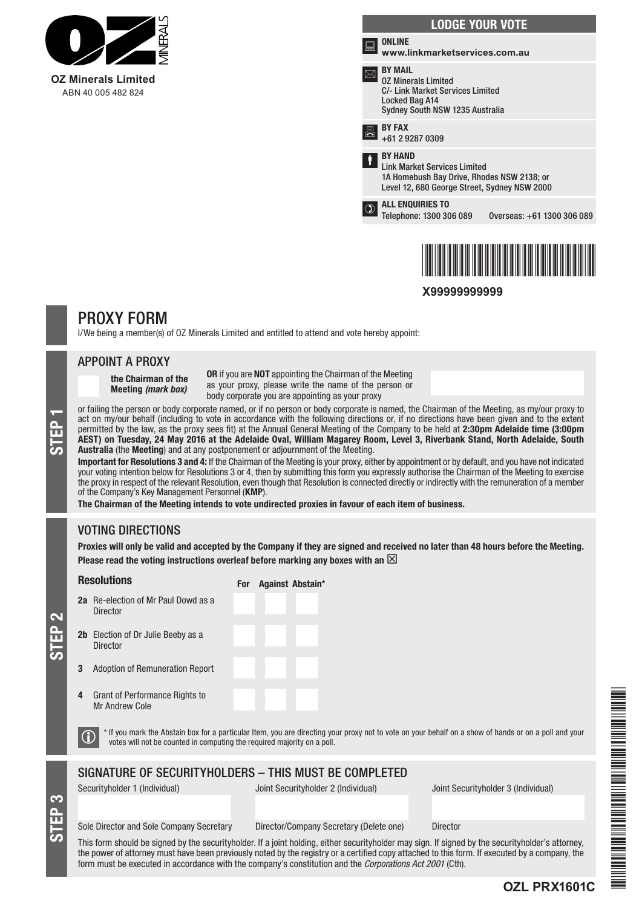

|   | <b>LODGE YOUR VOTE</b>                                                                                                                              |
|---|-----------------------------------------------------------------------------------------------------------------------------------------------------|
|   | <b>ONLINE</b><br>www.linkmarketservices.com.au                                                                                                      |
|   | <b>BY MAIL</b><br><b>02 Minerals Limited</b><br>C/- Link Market Services Limited<br>Locked Bag A14<br>Sydney South NSW 1235 Australia               |
| 昌 | <b>BY FAX</b><br>+61 2 9287 0309                                                                                                                    |
|   | <b>BY HAND</b><br><b>Link Market Services Limited</b><br>1A Homebush Bay Drive, Rhodes NSW 2138; or<br>Level 12, 680 George Street, Sydney NSW 2000 |
|   | <b>ALL ENQUIRIES TO</b><br>Telephone: 1300 306 089<br>Overseas: +61 1300 306 089                                                                    |
|   |                                                                                                                                                     |



**X99999999999**

# PROXY FORM

I/We being a member(s) of OZ Minerals Limited and entitled to attend and vote hereby appoint:

### APPOINT A PROXY

the Chairman of the Meeting *(mark box)*

OR if you are NOT appointing the Chairman of the Meeting as your proxy, please write the name of the person or body corporate you are appointing as your proxy

or failing the person or body corporate named, or if no person or body corporate is named, the Chairman of the Meeting, as my/our proxy to act on my/our behalf (including to vote in accordance with the following directions act on my/our behalf (including to vote in accordance with the following directions or, if no directions have been given and to the extent permitted by the law, as the proxy sees fit) at the Annual General Meeting of the Company to be held at 2:30pm Adelaide time (3:00pm AEST) on Tuesday, 24 May 2016 at the Adelaide Oval, William Magarey Room, Level 3, Riverbank Stand, North Adelaide, South Australia (the Meeting) and at any postponement or adjournment of the Meeting.

Important for Resolutions 3 and 4: If the Chairman of the Meeting is your proxy, either by appointment or by default, and you have not indicated your voting intention below for Resolutions 3 or 4, then by submitting this form you expressly authorise the Chairman of the Meeting to exercise the proxy in respect of the relevant Resolution, even though that Resolution is connected directly or indirectly with the remuneration of a member of the Company's Key Management Personnel (KMP).

The Chairman of the Meeting intends to vote undirected proxies in favour of each item of business.

For Against Abstain\*

## VOTING DIRECTIONS

Proxies will only be valid and accepted by the Company if they are signed and received no later than 48 hours before the Meeting. Please read the voting instructions overleaf before marking any boxes with an  $\boxtimes$ 

## Resolutions

- 2a Re-election of Mr Paul Dowd as a Director 2b Election of Dr Julie Beeby as a Director
- 3 Adoption of Remuneration Report
- 4 Grant of Performance Rights to Mr Andrew Cole

S<br>EP 3

STEP 2

 $\bigcirc$  \* If you mark the Abstain box for a particular Item, you are directing your proxy not to vote on your behalf on a show of hands or on a poll and your votes will not be counted in computing the required majority on a

## SIGNATURE OF SECURITYHOLDERS – THIS MUST BE COMPLETED

Securityholder 1 (Individual) Joint Securityholder 2 (Individual) Joint Securityholder 3 (Individual)

**OZL PRX1601C**

Sole Director and Sole Company Secretary Director/Company Secretary (Delete one) Director

This form should be signed by the securityholder. If a joint holding, either securityholder may sign. If signed by the securityholder's attorney, the power of attorney must have been previously noted by the registry or a certified copy attached to this form. If executed by a company, the form must be executed in accordance with the company's constitution and the *Corporations Act 2001* (Cth).

\*OZL PRX1601C\*